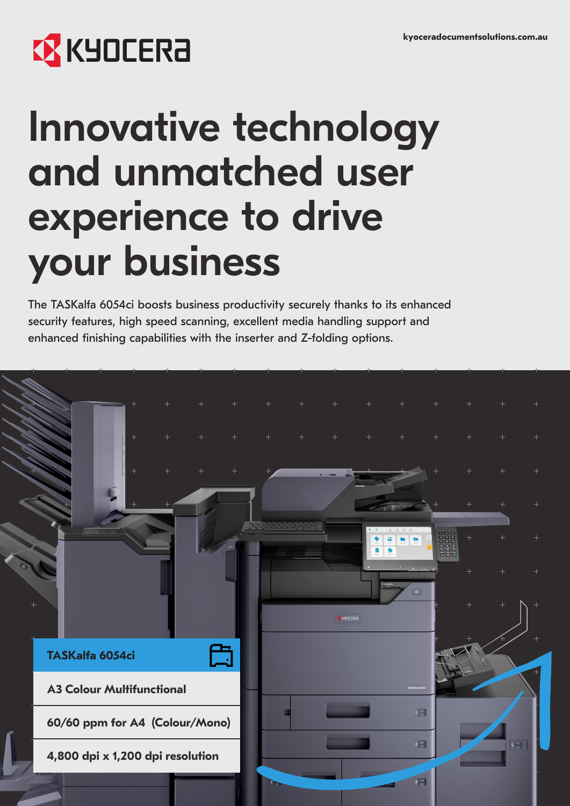# **EX KYOCERA**

# Innovative technology and unmatched user experience to drive your business

The TASKalfa 6054ci boosts business productivity securely thanks to its enhanced security features, high speed scanning, excellent media handling support and enhanced finishing capabilities with the inserter and Z-folding options.